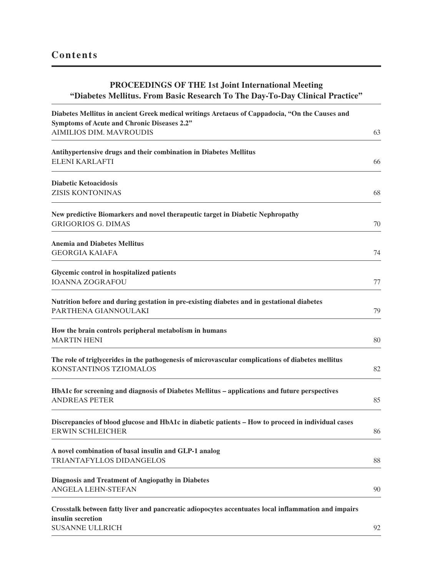## **PROCEEDINGS OF THE 1st Joint International Meeting "Diabetes Mellitus. From Basic Research To The Day-To-Day Clinical Practice"**

| Diabetes Mellitus in ancient Greek medical writings Aretaeus of Cappadocia, "On the Causes and                                                     |    |
|----------------------------------------------------------------------------------------------------------------------------------------------------|----|
| Symptoms of Acute and Chronic Diseases 2.2"<br><b>AIMILIOS DIM. MAVROUDIS</b>                                                                      | 63 |
| Antihypertensive drugs and their combination in Diabetes Mellitus                                                                                  |    |
| <b>ELENI KARLAFTI</b>                                                                                                                              | 66 |
| <b>Diabetic Ketoacidosis</b>                                                                                                                       |    |
| <b>ZISIS KONTONINAS</b>                                                                                                                            | 68 |
| New predictive Biomarkers and novel therapeutic target in Diabetic Nephropathy                                                                     |    |
| <b>GRIGORIOS G. DIMAS</b>                                                                                                                          | 70 |
| <b>Anemia and Diabetes Mellitus</b>                                                                                                                |    |
| <b>GEORGIA KAIAFA</b>                                                                                                                              | 74 |
| Glycemic control in hospitalized patients<br><b>IOANNA ZOGRAFOU</b>                                                                                | 77 |
| Nutrition before and during gestation in pre-existing diabetes and in gestational diabetes<br>PARTHENA GIANNOULAKI                                 | 79 |
| How the brain controls peripheral metabolism in humans<br><b>MARTIN HENI</b>                                                                       | 80 |
| The role of triglycerides in the pathogenesis of microvascular complications of diabetes mellitus<br>KONSTANTINOS TZIOMALOS                        | 82 |
| HbA1c for screening and diagnosis of Diabetes Mellitus - applications and future perspectives<br><b>ANDREAS PETER</b>                              | 85 |
| Discrepancies of blood glucose and HbA1c in diabetic patients - How to proceed in individual cases<br><b>ERWIN SCHLEICHER</b>                      | 86 |
| A novel combination of basal insulin and GLP-1 analog<br>TRIANTAFYLLOS DIDANGELOS                                                                  | 88 |
| <b>Diagnosis and Treatment of Angiopathy in Diabetes</b><br><b>ANGELA LEHN-STEFAN</b>                                                              | 90 |
| Crosstalk between fatty liver and pancreatic adiopocytes accentuates local inflammation and impairs<br>insulin secretion<br><b>SUSANNE ULLRICH</b> | 92 |